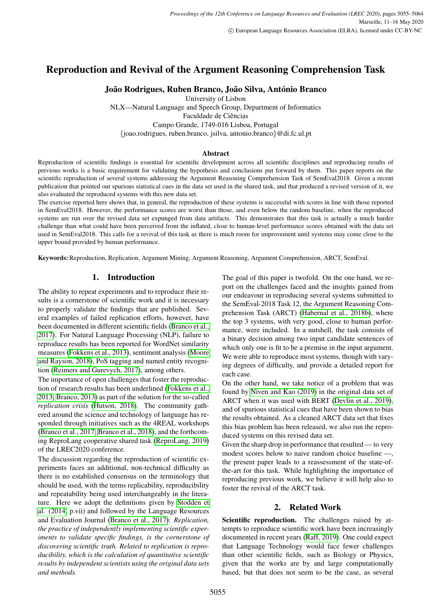# Reproduction and Revival of the Argument Reasoning Comprehension Task

# João Rodrigues, Ruben Branco, João Silva, António Branco

University of Lisbon NLX—Natural Language and Speech Group, Department of Informatics Faculdade de Ciências Campo Grande, 1749-016 Lisboa, Portugal {joao.rodrigues, ruben.branco, jsilva, antonio.branco}@di.fc.ul.pt

### **Abstract**

Reproduction of scientific findings is essential for scientific development across all scientific disciplines and reproducing results of previous works is a basic requirement for validating the hypothesis and conclusions put forward by them. This paper reports on the scientific reproduction of several systems addressing the Argument Reasoning Comprehension Task of SemEval2018. Given a recent publication that pointed out spurious statistical cues in the data set used in the shared task, and that produced a revised version of it, we also evaluated the reproduced systems with this new data set.

The exercise reported here shows that, in general, the reproduction of these systems is successful with scores in line with those reported in SemEval2018. However, the performance scores are worst than those, and even below the random baseline, when the reproduced systems are run over the revised data set expunged from data artifacts. This demonstrates that this task is actually a much harder challenge than what could have been perceived from the inflated, close to human-level performance scores obtained with the data set used in SemEval2018. This calls for a revival of this task as there is much room for improvement until systems may come close to the upper bound provided by human performance.

Keywords:Reproduction, Replication, Argument Mining, Argument Reasoning, Argument Comprehension, ARCT, SemEval.

# 1. Introduction

The ability to repeat experiments and to reproduce their results is a cornerstone of scientific work and it is necessary to properly validate the findings that are published. Several examples of failed replication efforts, however, have been documented in different scientific fields [\(Branco et al.,](#page-8-0) [2017\)](#page-8-0). For Natural Language Processing (NLP), failure to reproduce results has been reported for WordNet similarity measures [\(Fokkens et al., 2013\)](#page-8-1), sentiment analysis [\(Moore](#page-9-0) [and Rayson, 2018\)](#page-9-0), PoS tagging and named entity recognition [\(Reimers and Gurevych, 2017\)](#page-9-1), among others.

The importance of open challenges that foster the reproduction of research results has been underlined [\(Fokkens et al.,](#page-8-1) [2013;](#page-8-1) [Branco, 2013\)](#page-8-2) as part of the solution for the so-called *replication crisis* [\(Hutson, 2018\)](#page-8-3). The community gathered around the science and technology of language has responded through initiatives such as the 4REAL workshops [\(Branco et al., 2017;](#page-8-0) [Branco et al., 2018\)](#page-8-4), and the forthcoming ReproLang cooperative shared task [\(ReproLang, 2019\)](#page-9-2) of the LREC2020 conference.

The discussion regarding the reproduction of scientific experiments faces an additional, non-technical difficulty as there is no established consensus on the terminology that should be used, with the terms replicability, reproducibility and repeatability being used interchangeably in the literature. Here we adopt the definitions given by [Stodden et](#page-9-3) [al. \(2014,](#page-9-3) p.vii) and followed by the Language Resources and Evaluation Journal [\(Branco et al., 2017\)](#page-8-0): *Replication, the practice of independently implementing scientific experiments to validate specific findings, is the cornerstone of discovering scientific truth. Related to replication is reproducibility, which is the calculation of quantitative scientific results by independent scientists using the original data sets and methods.*

The goal of this paper is twofold. On the one hand, we report on the challenges faced and the insights gained from our endeavour in reproducing several systems submitted to the SemEval-2018 Task 12, the Argument Reasoning Comprehension Task (ARCT) [\(Habernal et al., 2018b\)](#page-8-5), where the top 3 systems, with very good, close to human performance, were included. In a nutshell, the task consists of a binary decision among two input candidate sentences of which only one is fit to be a premise in the input argument. We were able to reproduce most systems, though with varying degrees of difficulty, and provide a detailed report for each case.

On the other hand, we take notice of a problem that was found by [Niven and Kao \(2019\)](#page-9-4) in the original data set of ARCT when it was used with BERT [\(Devlin et al., 2019\)](#page-8-6), and of spurious statistical cues that have been shown to bias the results obtained. As a cleaned ARCT data set that fixes this bias problem has been released, we also run the reproduced systems on this revised data set.

Given the sharp drop in performance that resulted — to very modest scores below to naive random choice baseline —, the present paper leads to a reassessment of the state-ofthe-art for this task. While highlighting the importance of reproducing previous work, we believe it will help also to foster the revival of the ARCT task.

# 2. Related Work

Scientific reproduction. The challenges raised by attempts to reproduce scientific work have been increasingly documented in recent years [\(Raff, 2019\)](#page-9-5). One could expect that Language Technology would face fewer challenges than other scientific fields, such as Biology or Physics, given that the works are by and large computationally based, but that does not seem to be the case, as several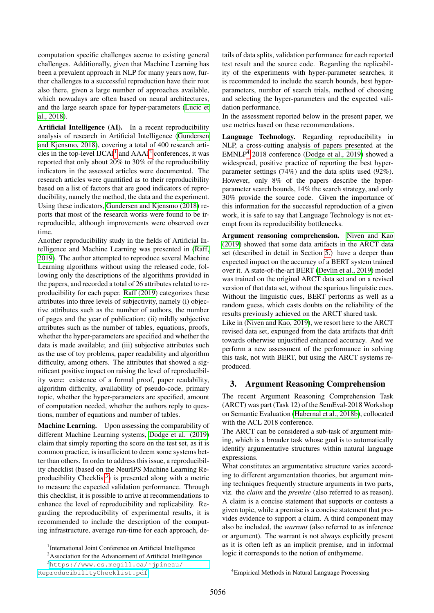computation specific challenges accrue to existing general challenges. Additionally, given that Machine Learning has been a prevalent approach in NLP for many years now, further challenges to a successful reproduction have their root also there, given a large number of approaches available, which nowadays are often based on neural architectures, and the large search space for hyper-parameters [\(Lucic et](#page-9-6) [al., 2018\)](#page-9-6).

Artificial Intelligence (AI). In a recent reproducibility analysis of research in Artificial Intelligence [\(Gundersen](#page-8-7) [and Kjensmo, 2018\)](#page-8-7), covering a total of 400 research articles in the top-level  $IJCAI<sup>1</sup>$  $IJCAI<sup>1</sup>$  $IJCAI<sup>1</sup>$  and  $AAAI<sup>2</sup>$  $AAAI<sup>2</sup>$  $AAAI<sup>2</sup>$  conferences, it was reported that only about 20% to 30% of the reproducibility indicators in the assessed articles were documented. The research articles were quantified as to their reproducibility based on a list of factors that are good indicators of reproducibility, namely the method, the data and the experiment. Using these indicators, [Gundersen and Kjensmo \(2018\)](#page-8-7) reports that most of the research works were found to be irreproducible, although improvements were observed over time.

Another reproducibility study in the fields of Artificial Intelligence and Machine Learning was presented in [\(Raff,](#page-9-5) [2019\)](#page-9-5). The author attempted to reproduce several Machine Learning algorithms without using the released code, following only the descriptions of the algorithms provided in the papers, and recorded a total of 26 attributes related to reproducibility for each paper. [Raff \(2019\)](#page-9-5) categorizes these attributes into three levels of subjectivity, namely (i) objective attributes such as the number of authors, the number of pages and the year of publication; (ii) mildly subjective attributes such as the number of tables, equations, proofs, whether the hyper-parameters are specified and whether the data is made available; and (iii) subjective attributes such as the use of toy problems, paper readability and algorithm difficulty, among others. The attributes that showed a significant positive impact on raising the level of reproducibility were: existence of a formal proof, paper readability, algorithm difficulty, availability of pseudo-code, primary topic, whether the hyper-parameters are specified, amount of computation needed, whether the authors reply to questions, number of equations and number of tables.

Machine Learning. Upon assessing the comparability of different Machine Learning systems, [Dodge et al. \(2019\)](#page-8-8) claim that simply reporting the score on the test set, as it is common practice, is insufficient to deem some systems better than others. In order to address this issue, a reproducibility checklist (based on the NeurIPS Machine Learning Re-producibility Checklist<sup>[3](#page-1-2)</sup>) is presented along with a metric to measure the expected validation performance. Through this checklist, it is possible to arrive at recommendations to enhance the level of reproducibility and replicability. Regarding the reproducibility of experimental results, it is recommended to include the description of the computing infrastructure, average run-time for each approach, details of data splits, validation performance for each reported test result and the source code. Regarding the replicability of the experiments with hyper-parameter searches, it is recommended to include the search bounds, best hyperparameters, number of search trials, method of choosing and selecting the hyper-parameters and the expected validation performance.

In the assessment reported below in the present paper, we use metrics based on these recommendations.

Language Technology. Regarding reproducibility in NLP, a cross-cutting analysis of papers presented at the EMNLP[4](#page-1-3) 2018 conference [\(Dodge et al., 2019\)](#page-8-8) showed a widespread, positive practice of reporting the best hyperparameter settings (74%) and the data splits used (92%). However, only 8% of the papers describe the hyperparameter search bounds, 14% the search strategy, and only 30% provide the source code. Given the importance of this information for the successful reproduction of a given work, it is safe to say that Language Technology is not exempt from its reproducibility bottlenecks.

Argument reasoning comprehension. [Niven and Kao](#page-9-4) [\(2019\)](#page-9-4) showed that some data artifacts in the ARCT data set (described in detail in Section [5.\)](#page-6-0) have a deeper than expected impact on the accuracy of a BERT system trained over it. A state-of-the-art BERT [\(Devlin et al., 2019\)](#page-8-6) model was trained on the original ARCT data set and on a revised version of that data set, without the spurious linguistic cues. Without the linguistic cues, BERT performs as well as a random guess, which casts doubts on the reliability of the results previously achieved on the ARCT shared task.

Like in [\(Niven and Kao, 2019\)](#page-9-4), we resort here to the ARCT revised data set, expunged from the data artifacts that drift towards otherwise unjustified enhanced accuracy. And we perform a new assessment of the performance in solving this task, not with BERT, but using the ARCT systems reproduced.

# 3. Argument Reasoning Comprehension

The recent Argument Reasoning Comprehension Task (ARCT) was part (Task 12) of the SemEval-2018 Workshop on Semantic Evaluation [\(Habernal et al., 2018b\)](#page-8-5), collocated with the ACL 2018 conference.

The ARCT can be considered a sub-task of argument mining, which is a broader task whose goal is to automatically identify argumentative structures within natural language expressions.

What constitutes an argumentative structure varies according to different argumentation theories, but argument mining techniques frequently structure arguments in two parts, viz. the *claim* and the *premise* (also referred to as reason). A claim is a concise statement that supports or contests a given topic, while a premise is a concise statement that provides evidence to support a claim. A third component may also be included, the *warrant* (also referred to as inference or argument). The warrant is not always explicitly present as it is often left as an implicit premise, and in informal logic it corresponds to the notion of enthymeme.

<span id="page-1-3"></span><sup>4</sup>Empirical Methods in Natural Language Processing

<span id="page-1-0"></span><sup>&</sup>lt;sup>1</sup>International Joint Conference on Artificial Intelligence

<span id="page-1-2"></span><span id="page-1-1"></span><sup>&</sup>lt;sup>2</sup>Association for the Advancement of Artificial Intelligence

<sup>3</sup>[https://www.cs.mcgill.ca/˜jpineau/](https://www.cs.mcgill.ca/~jpineau/ReproducibilityChecklist.pdf) [ReproducibilityChecklist.pdf](https://www.cs.mcgill.ca/~jpineau/ReproducibilityChecklist.pdf)

<sup>5056</sup>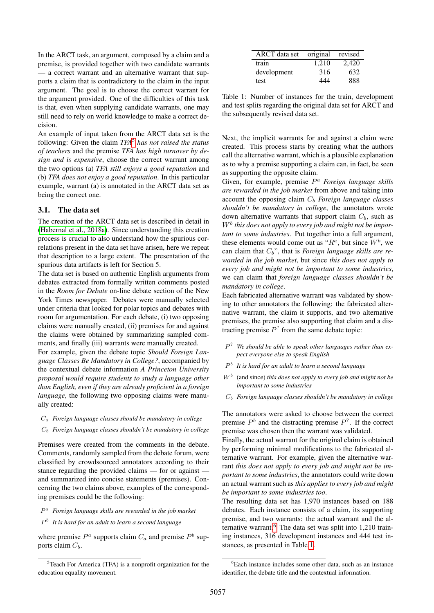In the ARCT task, an argument, composed by a claim and a premise, is provided together with two candidate warrants — a correct warrant and an alternative warrant that supports a claim that is contradictory to the claim in the input argument. The goal is to choose the correct warrant for the argument provided. One of the difficulties of this task is that, even when supplying candidate warrants, one may still need to rely on world knowledge to make a correct decision.

An example of input taken from the ARCT data set is the following: Given the claim *TFA*[5](#page-2-0) *has not raised the status of teachers* and the premise *TFA has high turnover by design and is expensive*, choose the correct warrant among the two options (a) *TFA still enjoys a good reputation* and (b) *TFA does not enjoy a good reputation*. In this particular example, warrant (a) is annotated in the ARCT data set as being the correct one.

### 3.1. The data set

The creation of the ARCT data set is described in detail in [\(Habernal et al., 2018a\)](#page-8-9). Since understanding this creation process is crucial to also understand how the spurious correlations present in the data set have arisen, here we repeat that description to a large extent. The presentation of the spurious data artifacts is left for Section 5.

The data set is based on authentic English arguments from debates extracted from formally written comments posted in the *Room for Debate* on-line debate section of the New York Times newspaper. Debates were manually selected under criteria that looked for polar topics and debates with room for argumentation. For each debate, (i) two opposing claims were manually created, (ii) premises for and against the claims were obtained by summarizing sampled comments, and finally (iii) warrants were manually created.

For example, given the debate topic *Should Foreign Language Classes Be Mandatory in College?*, accompanied by the contextual debate information *A Princeton University proposal would require students to study a language other than English, even if they are already proficient in a foreign language*, the following two opposing claims were manually created:

- C<sup>a</sup> *Foreign language classes should be mandatory in college*
- C<sup>b</sup> *Foreign language classes shouldn't be mandatory in college*

Premises were created from the comments in the debate. Comments, randomly sampled from the debate forum, were classified by crowdsourced annotators according to their stance regarding the provided claims — for or against and summarized into concise statements (premises). Concerning the two claims above, examples of the corresponding premises could be the following:

### P <sup>a</sup> *Foreign language skills are rewarded in the job market*

### P b *It is hard for an adult to learn a second language*

where premise  $P^a$  supports claim  $C_a$  and premise  $P^b$  supports claim  $C_b$ .

| ARCT data set | original | revised |
|---------------|----------|---------|
| train         | 1.210    | 2,420   |
| development   | 316      | 632     |
| test          | 444      | 888     |

<span id="page-2-2"></span>Table 1: Number of instances for the train, development and test splits regarding the original data set for ARCT and the subsequently revised data set.

Next, the implicit warrants for and against a claim were created. This process starts by creating what the authors call the alternative warrant, which is a plausible explanation as to why a premise supporting a claim can, in fact, be seen as supporting the opposite claim.

Given, for example, premise P <sup>a</sup> *Foreign language skills are rewarded in the job market* from above and taking into account the opposing claim  $C_b$  *Foreign language classes shouldn't be mandatory in college*, the annotators wrote down alternative warrants that support claim  $C_b$ , such as W<sup>b</sup> *this does not apply to every job and might not be important to some industries*. Put together into a full argument, these elements would come out as " $R^a$ , but since  $W^b$ , we can claim that  $C_b$ <sup>"</sup>, that is *Foreign language skills are rewarded in the job market*, but since *this does not apply to every job and might not be important to some industries*, we can claim that *foreign language classes shouldn't be mandatory in college*.

Each fabricated alternative warrant was validated by showing to other annotators the following: the fabricated alternative warrant, the claim it supports, and two alternative premises, the premise also supporting that claim and a distracting premise  $P<sup>2</sup>$  from the same debate topic:

- P ? *We should be able to speak other languages rather than expect everyone else to speak English*
- P b *It is hard for an adult to learn a second language*
- W<sup>b</sup> (and since) *this does not apply to every job and might not be important to some industries*
- C<sup>b</sup> *Foreign language classes shouldn't be mandatory in college*

The annotators were asked to choose between the correct premise  $P<sup>b</sup>$  and the distracting premise  $P<sup>2</sup>$ . If the correct premise was chosen then the warrant was validated.

Finally, the actual warrant for the original claim is obtained by performing minimal modifications to the fabricated alternative warrant. For example, given the alternative warrant *this does not apply to every job and might not be important to some industries*, the annotators could write down an actual warrant such as *this applies to every job and might be important to some industries too*.

The resulting data set has 1,970 instances based on 188 debates. Each instance consists of a claim, its supporting premise, and two warrants: the actual warrant and the alternative warrant.[6](#page-2-1) The data set was split into 1,210 training instances, 316 development instances and 444 test instances, as presented in Table [1.](#page-2-2)

<span id="page-2-0"></span> ${}^{5}$ Teach For America (TFA) is a nonprofit organization for the education equality movement.

<span id="page-2-1"></span><sup>&</sup>lt;sup>6</sup>Each instance includes some other data, such as an instance identifier, the debate title and the contextual information.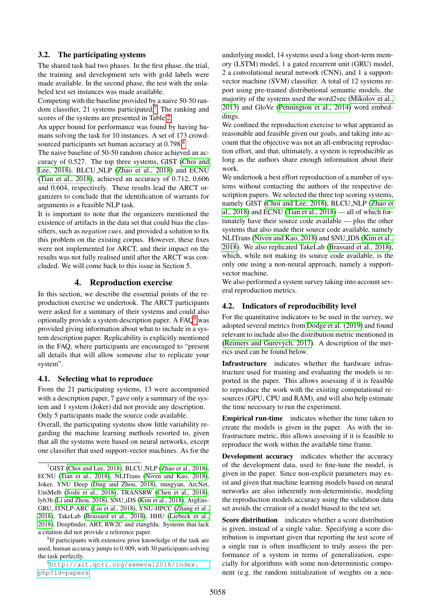### 3.2. The participating systems

The shared task had two phases. In the first phase, the trial, the training and development sets with gold labels were made available. In the second phase, the test with the unlabeled test set instances was made available.

Competing with the baseline provided by a naive 50-50 random classifier, 21 systems participated.[7](#page-3-0) The ranking and scores of the systems are presented in Table [2.](#page-5-0)

An upper bound for performance was found by having humans solving the task for 10 instances. A set of 173 crowd-sourced participants set human accuracy at 0.79[8](#page-3-1).<sup>8</sup>

The naive baseline of 50-50 random choice achieved an accuracy of 0.527. The top three systems, GIST [\(Choi and](#page-8-10) [Lee, 2018\)](#page-8-10), BLCU NLP [\(Zhao et al., 2018\)](#page-9-7) and ECNU [\(Tian et al., 2018\)](#page-9-8), achieved an accuracy of 0.712, 0.606 and 0.604, respectively. These results lead the ARCT organizers to conclude that the identification of warrants for arguments is a feasible NLP task.

It is important to note that the organizers mentioned the existence of artifacts in the data set that could bias the classifiers, such as *negation cues*, and provided a solution to fix this problem on the existing corpus. However, these fixes were not implemented for ARCT, and their impact on the results was not fully realised until after the ARCT was concluded. We will come back to this issue in Section 5.

### 4. Reproduction exercise

In this section, we describe the essential points of the reproduction exercise we undertook. The ARCT participants were asked for a summary of their systems and could also optionally provide a system description paper. A FAQ[9](#page-3-2) was provided giving information about what to include in a system description paper. Replicability is explicitly mentioned in the FAQ, where participants are encouraged to "present all details that will allow someone else to replicate your system".

#### 4.1. Selecting what to reproduce

From the 21 participating systems, 13 were accompanied with a description paper, 7 gave only a summary of the system and 1 system (Joker) did not provide any description. Only 5 participants made the source code available.

Overall, the participating systems show little variability regarding the machine learning methods resorted to, given that all the systems were based on neural networks, except one classifier that used support-vector machines. As for the

<span id="page-3-1"></span><sup>8</sup>If participants with extensive prior knowledge of the task are used, human accuracy jumps to 0.909, with 30 participants solving the task perfectly.

<span id="page-3-2"></span><sup>9</sup>[http://alt.qcri.org/semeval2018/index.](http://alt.qcri.org/semeval2018/index.php?id=papers) [php?id=papers](http://alt.qcri.org/semeval2018/index.php?id=papers)

underlying model, 14 systems used a long short-term memory (LSTM) model, 1 a gated recurrent unit (GRU) model, 2 a convolutional neural network (CNN), and 1 a supportvector machine (SVM) classifier. A total of 12 systems report using pre-trained distributional semantic models, the majority of the systems used the word2vec [\(Mikolov et al.,](#page-9-12) [2013\)](#page-9-12) and GloVe [\(Pennington et al., 2014\)](#page-9-13) word embeddings.

We confined the reproduction exercise to what appeared as reasonable and feasible given our goals, and taking into account that the objective was not an all-embracing reproduction effort, and that, ultimately, a system is reproducible as long as the authors share enough information about their work.

We undertook a best effort reproduction of a number of systems without contacting the authors of the respective description papers. We selected the three top scoring systems, namely GIST [\(Choi and Lee, 2018\)](#page-8-10), BLCU NLP [\(Zhao et](#page-9-7) [al., 2018\)](#page-9-7) and ECNU [\(Tian et al., 2018\)](#page-9-8) — all of which fortunately have their source code available — plus the other systems that also made their source code available, namely NLITrans [\(Niven and Kao, 2018\)](#page-9-9) and SNU IDS [\(Kim et al.,](#page-8-15) [2018\)](#page-8-15). We also replicated TakeLab [\(Brassard et al., 2018\)](#page-8-16), which, while not making its source code available, is the only one using a non-neural approach, namely a supportvector machine.

We also performed a system survey taking into account several reproduction metrics.

### 4.2. Indicators of reproducibility level

For the quantitative indicators to be used in the survey, we adopted several metrics from [Dodge et al. \(2019\)](#page-8-8) and found relevant to include also the distribution metric mentioned in [\(Reimers and Gurevych, 2017\)](#page-9-1). A description of the metrics used can be found below.

Infrastructure indicates whether the hardware infrastructure used for training and evaluating the models is reported in the paper. This allows assessing if it is feasible to reproduce the work with the existing computational resources (GPU, CPU and RAM), and will also help estimate the time necessary to run the experiment.

Empirical run-time indicates whether the time taken to create the models is given in the paper. As with the infrastructure metric, this allows assessing if it is feasible to reproduce the work within the available time frame.

Development accuracy indicates whether the accuracy of the development data, used to fine-tune the model, is given in the paper. Since non-explicit parameters may exist and given that machine learning models based on neural networks are also inherently non-deterministic, modeling the reproduction models accuracy using the validation data set avoids the creation of a model biased to the test set.

Score distribution indicates whether a score distribution is given, instead of a single value. Specifying a score distribution is important given that reporting the test score of a single run is often insufficient to truly assess the performance of a system in terms of generalization, especially for algorithms with some non-deterministic component (e.g. the random initialization of weights on a neu-

<span id="page-3-0"></span> ${}^{7}$ GIST [\(Choi and Lee, 2018\)](#page-8-10), BLCU\_NLP [\(Zhao et al., 2018\)](#page-9-7), ECNU [\(Tian et al., 2018\)](#page-9-8), NLITrans [\(Niven and Kao, 2018\)](#page-9-9), Joker, YNU Deep [\(Ding and Zhou, 2018\)](#page-8-11), mingyan, ArcNet, UniMelb [\(Joshi et al., 2018\)](#page-8-12), TRANSRW [\(Chen et al., 2018\)](#page-8-13), lyb3b [\(Li and Zhou, 2018\)](#page-8-14), SNU iDS [\(Kim et al., 2018\)](#page-8-15), ArgEns-GRU, ITNLP-ARC [\(Liu et al., 2018\)](#page-9-10), YNU-HPCC [\(Zhang et al.,](#page-9-11) [2018\)](#page-9-11), TakeLab [\(Brassard et al., 2018\)](#page-8-16), HHU [\(Liebeck et al.,](#page-8-17) [2018\)](#page-8-17), Deepfinder, ART, RW2C and ztangfdu. Systems that lack a citation did not provide a reference paper.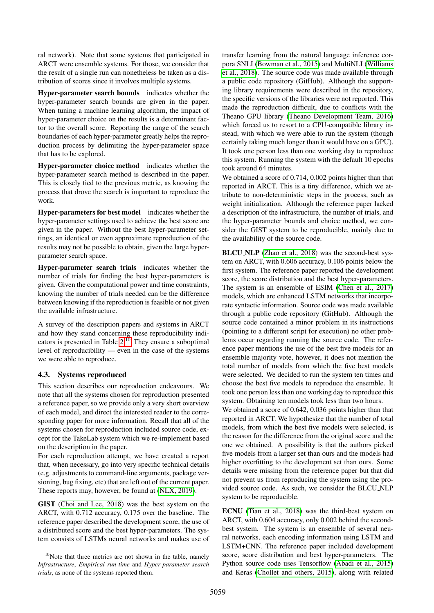ral network). Note that some systems that participated in ARCT were ensemble systems. For those, we consider that the result of a single run can nonetheless be taken as a distribution of scores since it involves multiple systems.

Hyper-parameter search bounds indicates whether the hyper-parameter search bounds are given in the paper. When tuning a machine learning algorithm, the impact of hyper-parameter choice on the results is a determinant factor to the overall score. Reporting the range of the search boundaries of each hyper-parameter greatly helps the reproduction process by delimiting the hyper-parameter space that has to be explored.

Hyper-parameter choice method indicates whether the hyper-parameter search method is described in the paper. This is closely tied to the previous metric, as knowing the process that drove the search is important to reproduce the work.

Hyper-parameters for best model indicates whether the hyper-parameter settings used to achieve the best score are given in the paper. Without the best hyper-parameter settings, an identical or even approximate reproduction of the results may not be possible to obtain, given the large hyperparameter search space.

Hyper-parameter search trials indicates whether the number of trials for finding the best hyper-parameters is given. Given the computational power and time constraints, knowing the number of trials needed can be the difference between knowing if the reproduction is feasible or not given the available infrastructure.

A survey of the description papers and systems in ARCT and how they stand concerning these reproducibility indicators is presented in Table [2.](#page-5-0)[10](#page-4-0) They ensure a suboptimal level of reproducibility — even in the case of the systems we were able to reproduce.

# 4.3. Systems reproduced

This section describes our reproduction endeavours. We note that all the systems chosen for reproduction presented a reference paper, so we provide only a very short overview of each model, and direct the interested reader to the corresponding paper for more information. Recall that all of the systems chosen for reproduction included source code, except for the TakeLab system which we re-implement based on the description in the paper.

For each reproduction attempt, we have created a report that, when necessary, go into very specific technical details (e.g. adjustments to command-line arguments, package versioning, bug fixing, etc) that are left out of the current paper. These reports may, however, be found at [\(NLX, 2019\)](#page-9-14).

GIST [\(Choi and Lee, 2018\)](#page-8-10) was the best system on the ARCT, with 0.712 accuracy, 0.175 over the baseline. The reference paper described the development score, the use of a distributed score and the best hyper-parameters. The system consists of LSTMs neural networks and makes use of transfer learning from the natural language inference corpora SNLI [\(Bowman et al., 2015\)](#page-8-18) and MultiNLI [\(Williams](#page-9-15) [et al., 2018\)](#page-9-15). The source code was made available through a public code repository (GitHub). Although the supporting library requirements were described in the repository, the specific versions of the libraries were not reported. This made the reproduction difficult, due to conflicts with the Theano GPU library [\(Theano Development Team, 2016\)](#page-9-16) which forced us to resort to a CPU-compatible library instead, with which we were able to run the system (though certainly taking much longer than it would have on a GPU). It took one person less than one working day to reproduce this system. Running the system with the default 10 epochs took around 64 minutes.

We obtained a score of 0.714, 0.002 points higher than that reported in ARCT. This is a tiny difference, which we attribute to non-deterministic steps in the process, such as weight initialization. Although the reference paper lacked a description of the infrastructure, the number of trials, and the hyper-parameter bounds and choice method, we consider the GIST system to be reproducible, mainly due to the availability of the source code.

BLCU NLP [\(Zhao et al., 2018\)](#page-9-7) was the second-best system on ARCT, with 0.606 accuracy, 0.106 points below the first system. The reference paper reported the development score, the score distribution and the best hyper-parameters. The system is an ensemble of ESIM [\(Chen et al., 2017\)](#page-8-19) models, which are enhanced LSTM networks that incorporate syntactic information. Source code was made available through a public code repository (GitHub). Although the source code contained a minor problem in its instructions (pointing to a different script for execution) no other problems occur regarding running the source code. The reference paper mentions the use of the best five models for an ensemble majority vote, however, it does not mention the total number of models from which the five best models were selected. We decided to run the system ten times and choose the best five models to reproduce the ensemble. It took one person less than one working day to reproduce this system. Obtaining ten models took less than two hours.

We obtained a score of 0.642, 0.036 points higher than that reported in ARCT. We hypothesize that the number of total models, from which the best five models were selected, is the reason for the difference from the original score and the one we obtained. A possibility is that the authors picked five models from a larger set than ours and the models had higher overfitting to the development set than ours. Some details were missing from the reference paper but that did not prevent us from reproducing the system using the provided source code. As such, we consider the BLCU NLP system to be reproducible.

ECNU [\(Tian et al., 2018\)](#page-9-8) was the third-best system on ARCT, with 0.604 accuracy, only 0.002 behind the secondbest system. The system is an ensemble of several neural networks, each encoding information using LSTM and LSTM+CNN. The reference paper included development score, score distribution and best hyper-parameters. The Python source code uses Tensorflow [\(Abadi et al., 2015\)](#page-7-0) and Keras [\(Chollet and others, 2015\)](#page-8-20), along with related

<span id="page-4-0"></span> $10$ Note that three metrics are not shown in the table, namely *Infrastructure*, *Empirical run-time* and *Hyper-parameter search trials*, as none of the systems reported them.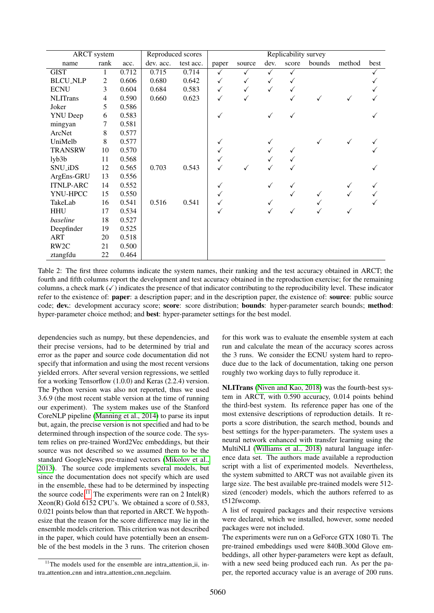| <b>ARCT</b> system |      | Reproduced scores |           | Replicability survey |              |        |      |              |        |        |      |
|--------------------|------|-------------------|-----------|----------------------|--------------|--------|------|--------------|--------|--------|------|
| name               | rank | acc.              | dev. acc. | test acc.            | paper        | source | dev. | score        | bounds | method | best |
| <b>GIST</b>        | 1    | 0.712             | 0.715     | 0.714                | $\checkmark$ | ✓      | ✓    | ✓            |        |        | ✓    |
| <b>BLCU_NLP</b>    | 2    | 0.606             | 0.680     | 0.642                | $\checkmark$ | ✓      | ✓    | $\checkmark$ |        |        |      |
| <b>ECNU</b>        | 3    | 0.604             | 0.684     | 0.583                | $\checkmark$ | ✓      | ✓    | ✓            |        |        |      |
| <b>NLITrans</b>    | 4    | 0.590             | 0.660     | 0.623                | ✓            |        |      | $\checkmark$ |        |        |      |
| Joker              | 5    | 0.586             |           |                      |              |        |      |              |        |        |      |
| <b>YNU</b> Deep    | 6    | 0.583             |           |                      |              |        |      |              |        |        |      |
| mingyan            | 7    | 0.581             |           |                      |              |        |      |              |        |        |      |
| ArcNet             | 8    | 0.577             |           |                      |              |        |      |              |        |        |      |
| UniMelb            | 8    | 0.577             |           |                      |              |        |      |              |        |        |      |
| <b>TRANSRW</b>     | 10   | 0.570             |           |                      |              |        |      |              |        |        |      |
| $1$ yb $3$ b       | 11   | 0.568             |           |                      |              |        |      |              |        |        |      |
| <b>SNU_iDS</b>     | 12   | 0.565             | 0.703     | 0.543                |              |        |      |              |        |        |      |
| ArgEns-GRU         | 13   | 0.556             |           |                      |              |        |      |              |        |        |      |
| <b>ITNLP-ARC</b>   | 14   | 0.552             |           |                      |              |        |      |              |        | √      |      |
| YNU-HPCC           | 15   | 0.550             |           |                      | ✓            |        |      |              |        |        |      |
| TakeLab            | 16   | 0.541             | 0.516     | 0.541                |              |        |      |              |        |        |      |
| <b>HHU</b>         | 17   | 0.534             |           |                      | ✓            |        |      |              |        | ✓      |      |
| baseline           | 18   | 0.527             |           |                      |              |        |      |              |        |        |      |
| Deepfinder         | 19   | 0.525             |           |                      |              |        |      |              |        |        |      |
| <b>ART</b>         | 20   | 0.518             |           |                      |              |        |      |              |        |        |      |
| RW <sub>2</sub> C  | 21   | 0.500             |           |                      |              |        |      |              |        |        |      |
| ztangfdu           | 22   | 0.464             |           |                      |              |        |      |              |        |        |      |

<span id="page-5-0"></span>Table 2: The first three columns indicate the system names, their ranking and the test accuracy obtained in ARCT; the fourth and fifth columns report the development and test accuracy obtained in the reproduction exercise; for the remaining columns, a check mark  $(\checkmark)$  indicates the presence of that indicator contributing to the reproducibility level. These indicator refer to the existence of: **paper**: a description paper; and in the description paper, the existence of: **source**: public source code; dev.: development accuracy score; score: score distribution; bounds: hyper-parameter search bounds; method: hyper-parameter choice method; and best: hyper-parameter settings for the best model.

dependencies such as numpy, but these dependencies, and their precise versions, had to be determined by trial and error as the paper and source code documentation did not specify that information and using the most recent versions yielded errors. After several version regressions, we settled for a working Tensorflow (1.0.0) and Keras (2.2.4) version. The Python version was also not reported, thus we used 3.6.9 (the most recent stable version at the time of running our experiment). The system makes use of the Stanford CoreNLP pipeline [\(Manning et al., 2014\)](#page-9-17) to parse its input but, again, the precise version is not specified and had to be determined through inspection of the source code. The system relies on pre-trained Word2Vec embeddings, but their source was not described so we assumed them to be the standard GoogleNews pre-trained vectors [\(Mikolov et al.,](#page-9-12) [2013\)](#page-9-12). The source code implements several models, but since the documentation does not specify which are used in the ensemble, these had to be determined by inspecting the source code.<sup>[11](#page-5-1)</sup> The experiments were ran on 2 Intel(R) Xeon(R) Gold 6152 CPU's. We obtained a score of 0.583, 0.021 points below than that reported in ARCT. We hypothesize that the reason for the score difference may lie in the ensemble models criterion. This criterion was not described in the paper, which could have potentially been an ensemble of the best models in the 3 runs. The criterion chosen for this work was to evaluate the ensemble system at each run and calculate the mean of the accuracy scores across the 3 runs. We consider the ECNU system hard to reproduce due to the lack of documentation, taking one person roughly two working days to fully reproduce it.

NLITrans [\(Niven and Kao, 2018\)](#page-9-9) was the fourth-best system in ARCT, with 0.590 accuracy, 0.014 points behind the third-best system. Its reference paper has one of the most extensive descriptions of reproduction details. It reports a score distribution, the search method, bounds and best settings for the hyper-parameters. The system uses a neural network enhanced with transfer learning using the MultiNLI [\(Williams et al., 2018\)](#page-9-15) natural language inference data set. The authors made available a reproduction script with a list of experimented models. Nevertheless, the system submitted to ARCT was not available given its large size. The best available pre-trained models were 512 sized (encoder) models, which the authors referred to as t512fwcomp.

A list of required packages and their respective versions were declared, which we installed, however, some needed packages were not included.

The experiments were run on a GeForce GTX 1080 Ti. The pre-trained embeddings used were 840B.300d Glove embeddings, all other hyper-parameters were kept as default, with a new seed being produced each run. As per the paper, the reported accuracy value is an average of 200 runs.

<span id="page-5-1"></span> $11$ The models used for the ensemble are intra attention ii, intra attention cnn and intra attention cnn negclaim.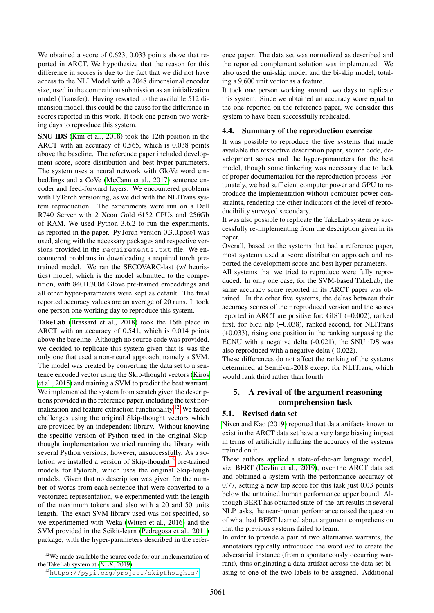We obtained a score of 0.623, 0.033 points above that reported in ARCT. We hypothesize that the reason for this difference in scores is due to the fact that we did not have access to the NLI Model with a 2048 dimensional encoder size, used in the competition submission as an initialization model (Transfer). Having resorted to the available 512 dimension model, this could be the cause for the difference in scores reported in this work. It took one person two working days to reproduce this system.

SNU IDS [\(Kim et al., 2018\)](#page-8-15) took the 12th position in the ARCT with an accuracy of 0.565, which is 0.038 points above the baseline. The reference paper included development score, score distribution and best hyper-parameters. The system uses a neural network with GloVe word embeddings and a CoVe [\(McCann et al., 2017\)](#page-9-18) sentence encoder and feed-forward layers. We encountered problems with PyTorch versioning, as we did with the NLITrans system reproduction. The experiments were run on a Dell R740 Server with 2 Xeon Gold 6152 CPUs and 256Gb of RAM. We used Python 3.6.2 to run the experiments, as reported in the paper. PyTorch version 0.3.0.post4 was used, along with the necessary packages and respective versions provided in the requirements.txt file. We encountered problems in downloading a required torch pretrained model. We ran the SECOVARC-last (w/ heuristics) model, which is the model submitted to the competition, with 840B.300d Glove pre-trained embeddings and all other hyper-parameters were kept as default. The final reported accuracy values are an average of 20 runs. It took one person one working day to reproduce this system.

TakeLab [\(Brassard et al., 2018\)](#page-8-16) took the 16th place in ARCT with an accuracy of 0.541, which is 0.014 points above the baseline. Although no source code was provided, we decided to replicate this system given that is was the only one that used a non-neural approach, namely a SVM. The model was created by converting the data set to a sentence encoded vector using the Skip-thought vectors [\(Kiros](#page-8-21) [et al., 2015\)](#page-8-21) and training a SVM to predict the best warrant. We implemented the system from scratch given the descriptions provided in the reference paper, including the text normalization and feature extraction functionality.[12](#page-6-1) We faced challenges using the original Skip-thought vectors which are provided by an independent library. Without knowing the specific version of Python used in the original Skipthought implementation we tried running the library with several Python versions, however, unsuccessfully. As a solution we installed a version of Skip-thought $13$  pre-trained models for Pytorch, which uses the original Skip-tough models. Given that no description was given for the number of words from each sentence that were converted to a vectorized representation, we experimented with the length of the maximum tokens and also with a 20 and 50 units length. The exact SVM library used was not specified, so we experimented with Weka [\(Witten et al., 2016\)](#page-9-19) and the SVM provided in the Scikit-learn [\(Pedregosa et al., 2011\)](#page-9-20) package, with the hyper-parameters described in the refer-

<span id="page-6-1"></span><sup>12</sup>We made available the source code for our implementation of the TakeLab system at [\(NLX, 2019\)](#page-9-14).

<span id="page-6-2"></span><sup>13</sup><https://pypi.org/project/skipthoughts/>

ence paper. The data set was normalized as described and the reported complement solution was implemented. We also used the uni-skip model and the bi-skip model, totaling a 9,600 unit vector as a feature.

It took one person working around two days to replicate this system. Since we obtained an accuracy score equal to the one reported on the reference paper, we consider this system to have been successfully replicated.

### 4.4. Summary of the reproduction exercise

It was possible to reproduce the five systems that made available the respective description paper, source code, development scores and the hyper-parameters for the best model, though some tinkering was necessary due to lack of proper documentation for the reproduction process. Fortunately, we had sufficient computer power and GPU to reproduce the implementation without computer power constraints, rendering the other indicators of the level of reproducibility surveyed secondary.

It was also possible to replicate the TakeLab system by successfully re-implementing from the description given in its paper.

Overall, based on the systems that had a reference paper, most systems used a score distribution approach and reported the development score and best hyper-parameters.

All systems that we tried to reproduce were fully reproduced. In only one case, for the SVM-based TakeLab, the same accuracy score reported in its ARCT paper was obtained. In the other five systems, the deltas between their accuracy scores of their reproduced version and the scores reported in ARCT are positive for: GIST (+0.002), ranked first, for blcu\_nlp  $(+0.038)$ , ranked second, for NLITrans (+0.033), rising one position in the ranking surpassing the ECNU with a negative delta (-0.021), the SNU iDS was also reproduced with a negative delta (-0.022).

These differences do not affect the ranking of the systems determined at SemEval-2018 except for NLITrans, which would rank third rather than fourth.

### <span id="page-6-0"></span>5. A revival of the argument reasoning comprehension task

### 5.1. Revised data set

[Niven and Kao \(2019\)](#page-9-4) reported that data artifacts known to exist in the ARCT data set have a very large biasing impact in terms of artificially inflating the accuracy of the systems trained on it.

These authors applied a state-of-the-art language model, viz. BERT [\(Devlin et al., 2019\)](#page-8-6), over the ARCT data set and obtained a system with the performance accuracy of 0.77, setting a new top score for this task just 0.03 points below the untrained human performance upper bound. Although BERT has obtained state-of-the-art results in several NLP tasks, the near-human performance raised the question of what had BERT learned about argument comprehension that the previous systems failed to learn.

In order to provide a pair of two alternative warrants, the annotators typically introduced the word *not* to create the adversarial instance (from a spontaneously occurring warrant), thus originating a data artifact across the data set biasing to one of the two labels to be assigned. Additional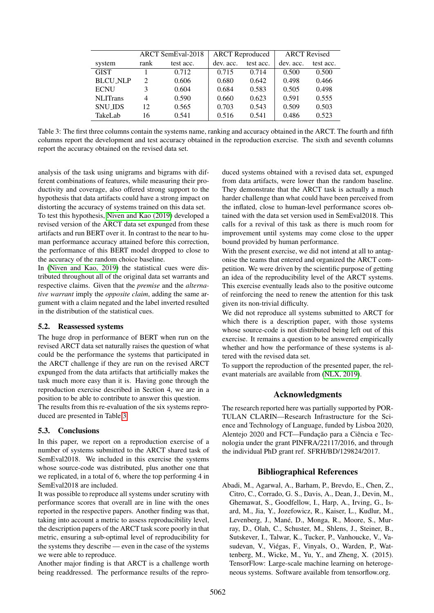|                 | ARCT SemEval-2018 |           | <b>ARCT</b> Reproduced |           | <b>ARCT</b> Revised |           |
|-----------------|-------------------|-----------|------------------------|-----------|---------------------|-----------|
| system          | rank              | test acc. | dev. acc.              | test acc. | dev. acc.           | test acc. |
| <b>GIST</b>     |                   | 0.712     | 0.715                  | 0.714     | 0.500               | 0.500     |
| <b>BLCU_NLP</b> | $\mathfrak{D}$    | 0.606     | 0.680                  | 0.642     | 0.498               | 0.466     |
| <b>ECNU</b>     | 3                 | 0.604     | 0.684                  | 0.583     | 0.505               | 0.498     |
| <b>NLITrans</b> | 4                 | 0.590     | 0.660                  | 0.623     | 0.591               | 0.555     |
| <b>SNU IDS</b>  | 12                | 0.565     | 0.703                  | 0.543     | 0.509               | 0.503     |
| TakeLab         | 16                | 0.541     | 0.516                  | 0.541     | 0.486               | 0.523     |

<span id="page-7-1"></span>Table 3: The first three columns contain the systems name, ranking and accuracy obtained in the ARCT. The fourth and fifth columns report the development and test accuracy obtained in the reproduction exercise. The sixth and seventh columns report the accuracy obtained on the revised data set.

analysis of the task using unigrams and bigrams with different combinations of features, while measuring their productivity and coverage, also offered strong support to the hypothesis that data artifacts could have a strong impact on distorting the accuracy of systems trained on this data set.

To test this hypothesis, [Niven and Kao \(2019\)](#page-9-4) developed a revised version of the ARCT data set expunged from these artifacts and run BERT over it. In contrast to the near to human performance accuracy attained before this correction, the performance of this BERT model dropped to close to the accuracy of the random choice baseline.

In [\(Niven and Kao, 2019\)](#page-9-4) the statistical cues were distributed throughout all of the original data set warrants and respective claims. Given that the *premise* and the *alternative warrant* imply the *opposite claim*, adding the same argument with a claim negated and the label inverted resulted in the distribution of the statistical cues.

### 5.2. Reassessed systems

The huge drop in performance of BERT when run on the revised ARCT data set naturally raises the question of what could be the performance the systems that participated in the ARCT challenge if they are run on the revised ARCT expunged from the data artifacts that artificially makes the task much more easy than it is. Having gone through the reproduction exercise described in Section 4, we are in a position to be able to contribute to answer this question.

The results from this re-evaluation of the six systems reproduced are presented in Table [3.](#page-7-1)

### 5.3. Conclusions

In this paper, we report on a reproduction exercise of a number of systems submitted to the ARCT shared task of SemEval2018. We included in this exercise the systems whose source-code was distributed, plus another one that we replicated, in a total of 6, where the top performing 4 in SemEval2018 are included.

It was possible to reproduce all systems under scrutiny with performance scores that overall are in line with the ones reported in the respective papers. Another finding was that, taking into account a metric to assess reproducibility level, the description papers of the ARCT task score poorly in that metric, ensuring a sub-optimal level of reproducibility for the systems they describe — even in the case of the systems we were able to reproduce.

Another major finding is that ARCT is a challenge worth being readdressed. The performance results of the reproduced systems obtained with a revised data set, expunged from data artifacts, were lower than the random baseline. They demonstrate that the ARCT task is actually a much harder challenge than what could have been perceived from the inflated, close to human-level performance scores obtained with the data set version used in SemEval2018. This calls for a revival of this task as there is much room for improvement until systems may come close to the upper bound provided by human performance.

With the present exercise, we did not intend at all to antagonise the teams that entered and organized the ARCT competition. We were driven by the scientific purpose of getting an idea of the reproducibility level of the ARCT systems. This exercise eventually leads also to the positive outcome of reinforcing the need to renew the attention for this task given its non-trivial difficulty.

We did not reproduce all systems submitted to ARCT for which there is a description paper, with those systems whose source-code is not distributed being left out of this exercise. It remains a question to be answered empirically whether and how the performance of these systems is altered with the revised data set.

To support the reproduction of the presented paper, the relevant materials are available from [\(NLX, 2019\)](#page-9-14).

### Acknowledgments

The research reported here was partially supported by POR-TULAN CLARIN—Research Infrastructure for the Science and Technology of Language, funded by Lisboa 2020, Alentejo 2020 and FCT—Fundação para a Ciência e Tecnologia under the grant PINFRA/22117/2016, and through the individual PhD grant ref. SFRH/BD/129824/2017.

### Bibliographical References

<span id="page-7-0"></span>Abadi, M., Agarwal, A., Barham, P., Brevdo, E., Chen, Z., Citro, C., Corrado, G. S., Davis, A., Dean, J., Devin, M., Ghemawat, S., Goodfellow, I., Harp, A., Irving, G., Isard, M., Jia, Y., Jozefowicz, R., Kaiser, L., Kudlur, M., Levenberg, J., Mané, D., Monga, R., Moore, S., Murray, D., Olah, C., Schuster, M., Shlens, J., Steiner, B., Sutskever, I., Talwar, K., Tucker, P., Vanhoucke, V., Vasudevan, V., Viégas, F., Vinyals, O., Warden, P., Wattenberg, M., Wicke, M., Yu, Y., and Zheng, X. (2015). TensorFlow: Large-scale machine learning on heterogeneous systems. Software available from tensorflow.org.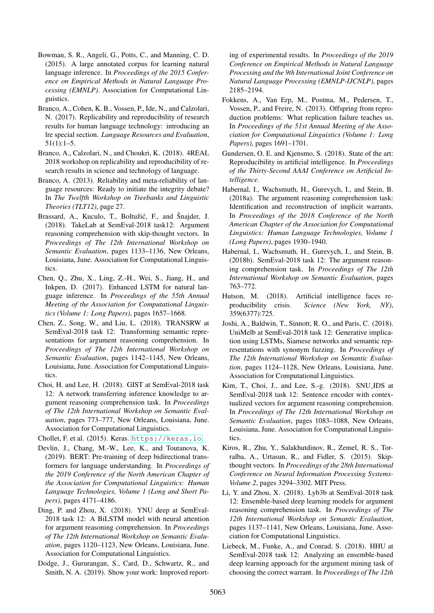- <span id="page-8-18"></span>Bowman, S. R., Angeli, G., Potts, C., and Manning, C. D. (2015). A large annotated corpus for learning natural language inference. In *Proceedings of the 2015 Conference on Empirical Methods in Natural Language Processing (EMNLP)*. Association for Computational Linguistics.
- <span id="page-8-0"></span>Branco, A., Cohen, K. B., Vossen, P., Ide, N., and Calzolari, N. (2017). Replicability and reproducibility of research results for human language technology: introducing an lre special section. *Language Resources and Evaluation*, 51(1):1–5.
- <span id="page-8-4"></span>Branco, A., Calzolari, N., and Choukri, K. (2018). 4REAL 2018 workshop on replicability and reproducibility of research results in science and technology of language.
- <span id="page-8-2"></span>Branco, A. (2013). Reliability and meta-reliability of language resources: Ready to initiate the integrity debate? In *The Twelfth Workshop on Treebanks and Linguistic Theories (TLT12)*, page 27.
- <span id="page-8-16"></span>Brassard, A., Kuculo, T., Boltužić, F., and Snajder, J. (2018). TakeLab at SemEval-2018 task12: Argument reasoning comprehension with skip-thought vectors. In *Proceedings of The 12th International Workshop on Semantic Evaluation*, pages 1133–1136, New Orleans, Louisiana, June. Association for Computational Linguistics.
- <span id="page-8-19"></span>Chen, Q., Zhu, X., Ling, Z.-H., Wei, S., Jiang, H., and Inkpen, D. (2017). Enhanced LSTM for natural language inference. In *Proceedings of the 55th Annual Meeting of the Association for Computational Linguistics (Volume 1: Long Papers)*, pages 1657–1668.
- <span id="page-8-13"></span>Chen, Z., Song, W., and Liu, L. (2018). TRANSRW at SemEval-2018 task 12: Transforming semantic representations for argument reasoning comprehension. In *Proceedings of The 12th International Workshop on Semantic Evaluation*, pages 1142–1145, New Orleans, Louisiana, June. Association for Computational Linguistics.
- <span id="page-8-10"></span>Choi, H. and Lee, H. (2018). GIST at SemEval-2018 task 12: A network transferring inference knowledge to argument reasoning comprehension task. In *Proceedings of The 12th International Workshop on Semantic Evaluation*, pages 773–777, New Orleans, Louisiana, June. Association for Computational Linguistics.
- <span id="page-8-20"></span>Chollet, F. et al. (2015). Keras. <https://keras.io>.
- <span id="page-8-6"></span>Devlin, J., Chang, M.-W., Lee, K., and Toutanova, K. (2019). BERT: Pre-training of deep bidirectional transformers for language understanding. In *Proceedings of the 2019 Conference of the North American Chapter of the Association for Computational Linguistics: Human Language Technologies, Volume 1 (Long and Short Papers)*, pages 4171–4186.
- <span id="page-8-11"></span>Ding, P. and Zhou, X. (2018). YNU deep at SemEval-2018 task 12: A BiLSTM model with neural attention for argument reasoning comprehension. In *Proceedings of The 12th International Workshop on Semantic Evaluation*, pages 1120–1123, New Orleans, Louisiana, June. Association for Computational Linguistics.
- <span id="page-8-8"></span>Dodge, J., Gururangan, S., Card, D., Schwartz, R., and Smith, N. A. (2019). Show your work: Improved report-

ing of experimental results. In *Proceedings of the 2019 Conference on Empirical Methods in Natural Language Processing and the 9th International Joint Conference on Natural Language Processing (EMNLP-IJCNLP)*, pages 2185–2194.

- <span id="page-8-1"></span>Fokkens, A., Van Erp, M., Postma, M., Pedersen, T., Vossen, P., and Freire, N. (2013). Offspring from reproduction problems: What replication failure teaches us. In *Proceedings of the 51st Annual Meeting of the Association for Computational Linguistics (Volume 1: Long Papers)*, pages 1691–1701.
- <span id="page-8-7"></span>Gundersen, O. E. and Kjensmo, S. (2018). State of the art: Reproducibility in artificial intelligence. In *Proceedings of the Thirty-Second AAAI Conference on Artificial Intelligence*.
- <span id="page-8-9"></span>Habernal, I., Wachsmuth, H., Gurevych, I., and Stein, B. (2018a). The argument reasoning comprehension task: Identification and reconstruction of implicit warrants. In *Proceedings of the 2018 Conference of the North American Chapter of the Association for Computational Linguistics: Human Language Technologies, Volume 1 (Long Papers)*, pages 1930–1940.
- <span id="page-8-5"></span>Habernal, I., Wachsmuth, H., Gurevych, I., and Stein, B. (2018b). SemEval-2018 task 12: The argument reasoning comprehension task. In *Proceedings of The 12th International Workshop on Semantic Evaluation*, pages 763–772.
- <span id="page-8-3"></span>Hutson, M. (2018). Artificial intelligence faces reproducibility crisis. *Science (New York, NY)*, 359(6377):725.
- <span id="page-8-12"></span>Joshi, A., Baldwin, T., Sinnott, R. O., and Paris, C. (2018). UniMelb at SemEval-2018 task 12: Generative implication using LSTMs, Siamese networks and semantic representations with synonym fuzzing. In *Proceedings of The 12th International Workshop on Semantic Evaluation*, pages 1124–1128, New Orleans, Louisiana, June. Association for Computational Linguistics.
- <span id="page-8-15"></span>Kim, T., Choi, J., and Lee, S.-g. (2018). SNU IDS at SemEval-2018 task 12: Sentence encoder with contextualized vectors for argument reasoning comprehension. In *Proceedings of The 12th International Workshop on Semantic Evaluation*, pages 1083–1088, New Orleans, Louisiana, June. Association for Computational Linguistics.
- <span id="page-8-21"></span>Kiros, R., Zhu, Y., Salakhutdinov, R., Zemel, R. S., Torralba, A., Urtasun, R., and Fidler, S. (2015). Skipthought vectors. In *Proceedings of the 28th International Conference on Neural Information Processing Systems-Volume 2*, pages 3294–3302. MIT Press.
- <span id="page-8-14"></span>Li, Y. and Zhou, X. (2018). Lyb3b at SemEval-2018 task 12: Ensemble-based deep learning models for argument reasoning comprehension task. In *Proceedings of The 12th International Workshop on Semantic Evaluation*, pages 1137–1141, New Orleans, Louisiana, June. Association for Computational Linguistics.
- <span id="page-8-17"></span>Liebeck, M., Funke, A., and Conrad, S. (2018). HHU at SemEval-2018 task 12: Analyzing an ensemble-based deep learning approach for the argument mining task of choosing the correct warrant. In *Proceedings of The 12th*